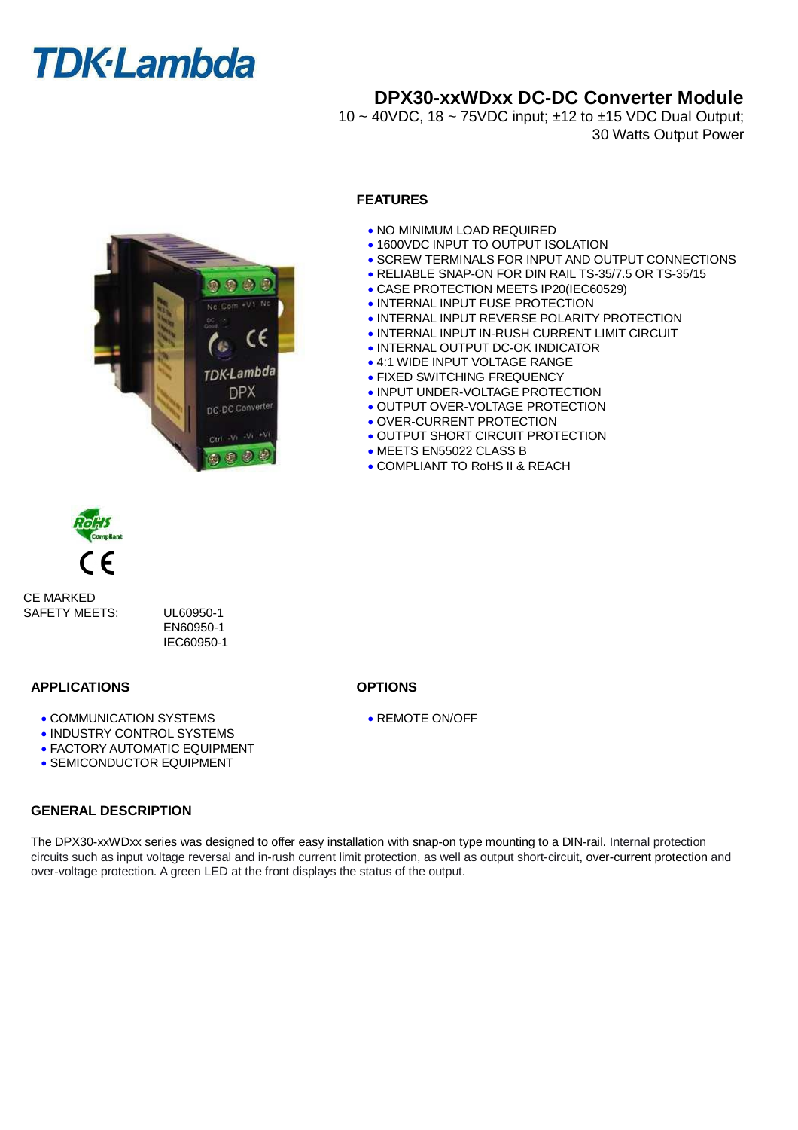## **DPX30-xxWDxx DC-DC Converter Module**

10 ~ 40VDC, 18 ~ 75VDC input; ±12 to ±15 VDC Dual Output; 30 Watts Output Power

#### **FEATURES**

- . NO MINIMUM LOAD REQUIRED
- **.1600VDC INPUT TO OUTPUT ISOLATION**
- **.** SCREW TERMINALS FOR INPUT AND OUTPUT CONNECTIONS
- RELIABLE SNAP-ON FOR DIN RAIL TS-35/7.5 OR TS-35/15
- CASE PROTECTION MEETS IP20(IEC60529)
- **. INTERNAL INPUT FUSE PROTECTION**
- **. INTERNAL INPUT REVERSE POLARITY PROTECTION**
- **. INTERNAL INPUT IN-RUSH CURRENT LIMIT CIRCUIT**
- **. INTERNAL OUTPUT DC-OK INDICATOR**
- 4:1 WIDE INPUT VOLTAGE RANGE
- **FIXED SWITCHING FREQUENCY**
- **. INPUT UNDER-VOLTAGE PROTECTION**
- **. OUTPUT OVER-VOLTAGE PROTECTION**
- **. OVER-CURRENT PROTECTION**
- **. OUTPUT SHORT CIRCUIT PROTECTION**
- MEETS EN55022 CLASS B
- COMPLIANT TO RoHS II & REACH



CE MARKED SAFETY MEETS: UL60950-1

EN60950-1 IEC60950-1

#### **APPLICATIONS OPTIONS**

- COMMUNICATION SYSTEMS
- **. INDUSTRY CONTROL SYSTEMS**
- FACTORY AUTOMATIC EQUIPMENT
- **SEMICONDUCTOR EQUIPMENT**

#### **GENERAL DESCRIPTION**

The DPX30-xxWDxx series was designed to offer easy installation with snap-on type mounting to a DIN-rail. Internal protection circuits such as input voltage reversal and in-rush current limit protection, as well as output short-circuit, over-current protection and over-voltage protection. A green LED at the front displays the status of the output.

REMOTE ON/OFF

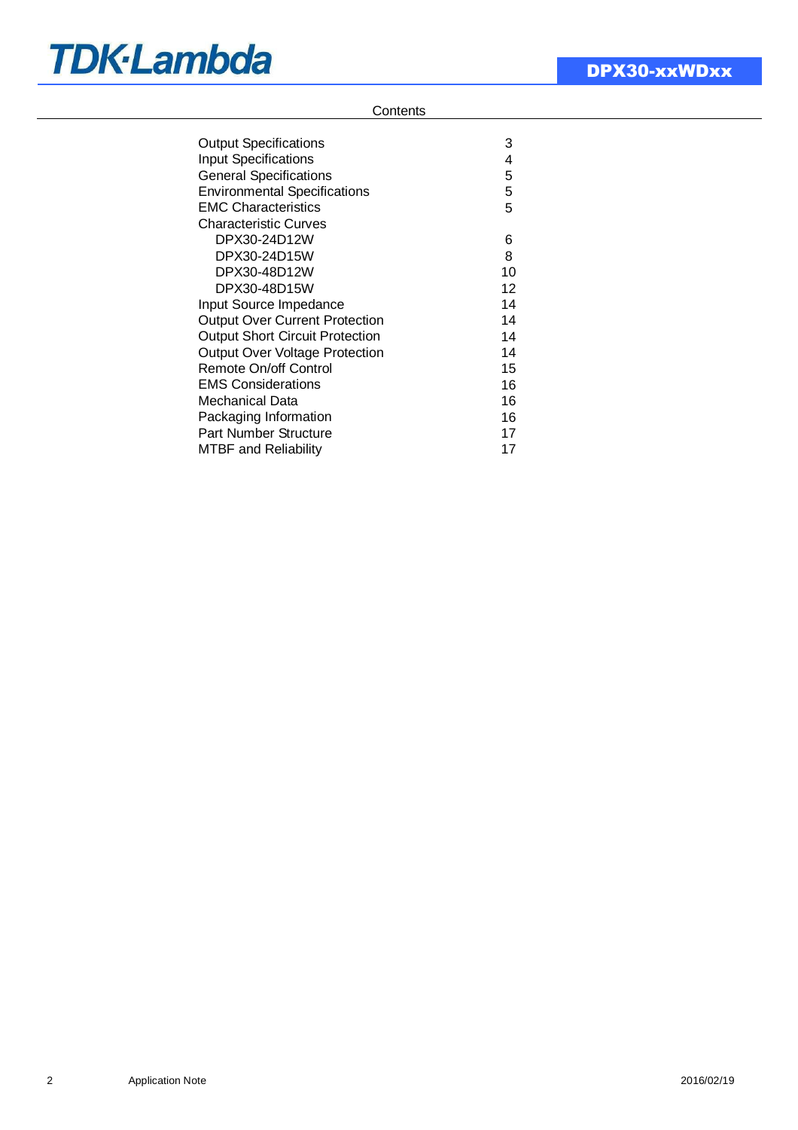### **Contents**

| <b>Output Specifications</b>           | 3  |
|----------------------------------------|----|
| <b>Input Specifications</b>            | 4  |
| <b>General Specifications</b>          | 5  |
| <b>Environmental Specifications</b>    | 5  |
| <b>EMC Characteristics</b>             | 5  |
| Characteristic Curves                  |    |
| DPX30-24D12W                           | 6  |
| DPX30-24D15W                           | 8  |
| DPX30-48D12W                           | 10 |
| DPX30-48D15W                           | 12 |
| <b>Input Source Impedance</b>          | 14 |
| <b>Output Over Current Protection</b>  | 14 |
| <b>Output Short Circuit Protection</b> | 14 |
| <b>Output Over Voltage Protection</b>  | 14 |
| <b>Remote On/off Control</b>           | 15 |
| <b>EMS Considerations</b>              | 16 |
| Mechanical Data                        | 16 |
| Packaging Information                  | 16 |
| Part Number Structure                  | 17 |
| MTBF and Reliability                   | 17 |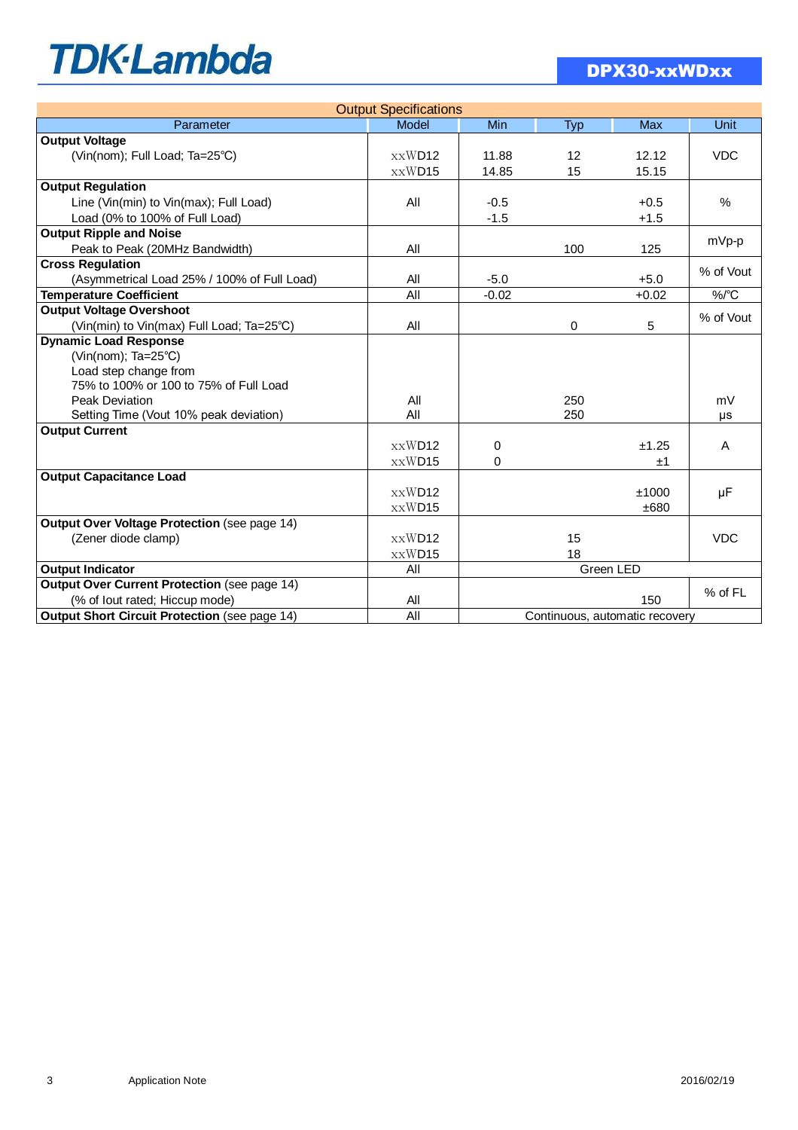| <b>Output Specifications</b>                               |              |                                |                   |            |            |  |  |
|------------------------------------------------------------|--------------|--------------------------------|-------------------|------------|------------|--|--|
| Parameter                                                  | <b>Model</b> | Min                            | Typ               | <b>Max</b> | Unit       |  |  |
| <b>Output Voltage</b>                                      |              |                                |                   |            |            |  |  |
| (Vin(nom); Full Load; Ta=25°C)                             | xxWD12       | 11.88                          | $12 \overline{ }$ | 12.12      | <b>VDC</b> |  |  |
|                                                            | xxWD15       | 14.85                          | 15                | 15.15      |            |  |  |
| <b>Output Regulation</b>                                   |              |                                |                   |            |            |  |  |
| Line (Vin(min) to Vin(max); Full Load)                     | All          | $-0.5$                         |                   | $+0.5$     | $\%$       |  |  |
| Load (0% to 100% of Full Load)                             |              | $-1.5$                         |                   | $+1.5$     |            |  |  |
| <b>Output Ripple and Noise</b>                             |              |                                |                   |            |            |  |  |
| Peak to Peak (20MHz Bandwidth)                             | All          |                                | 100               | 125        | mVp-p      |  |  |
| <b>Cross Regulation</b>                                    |              |                                |                   |            | % of Vout  |  |  |
| (Asymmetrical Load 25% / 100% of Full Load)                | All          | $-5.0$                         |                   | $+5.0$     |            |  |  |
| <b>Temperature Coefficient</b>                             | All          | $-0.02$                        |                   | $+0.02$    | %/°C       |  |  |
| <b>Output Voltage Overshoot</b>                            |              |                                |                   |            | % of Vout  |  |  |
| All<br>5<br>(Vin(min) to Vin(max) Full Load; Ta=25°C)<br>0 |              |                                |                   |            |            |  |  |
| <b>Dynamic Load Response</b>                               |              |                                |                   |            |            |  |  |
| (Vin(nom); Ta=25°C)                                        |              |                                |                   |            |            |  |  |
| Load step change from                                      |              |                                |                   |            |            |  |  |
| 75% to 100% or 100 to 75% of Full Load                     |              |                                |                   |            |            |  |  |
| Peak Deviation                                             | All<br>250   |                                |                   | mV         |            |  |  |
| Setting Time (Vout 10% peak deviation)                     | All          | 250                            |                   | μs         |            |  |  |
| <b>Output Current</b>                                      |              |                                |                   |            |            |  |  |
|                                                            | xxWD12       | $\Omega$                       |                   | ±1.25      | A          |  |  |
|                                                            | xxWD15       | $\Omega$                       |                   | ±1         |            |  |  |
| <b>Output Capacitance Load</b>                             |              |                                |                   |            |            |  |  |
|                                                            | xxWD12       |                                |                   | ±1000      | μF         |  |  |
|                                                            | xxWD15       |                                |                   | ±680       |            |  |  |
| Output Over Voltage Protection (see page 14)               |              |                                |                   |            |            |  |  |
| (Zener diode clamp)                                        | xxWD12       |                                | 15                |            | <b>VDC</b> |  |  |
|                                                            | xxWD15       |                                | 18                |            |            |  |  |
| <b>Output Indicator</b>                                    | All          | Green LED                      |                   |            |            |  |  |
| <b>Output Over Current Protection (see page 14)</b>        |              |                                |                   |            | % of FL    |  |  |
| (% of lout rated; Hiccup mode)                             | All          |                                |                   | 150        |            |  |  |
| <b>Output Short Circuit Protection (see page 14)</b>       | All          | Continuous, automatic recovery |                   |            |            |  |  |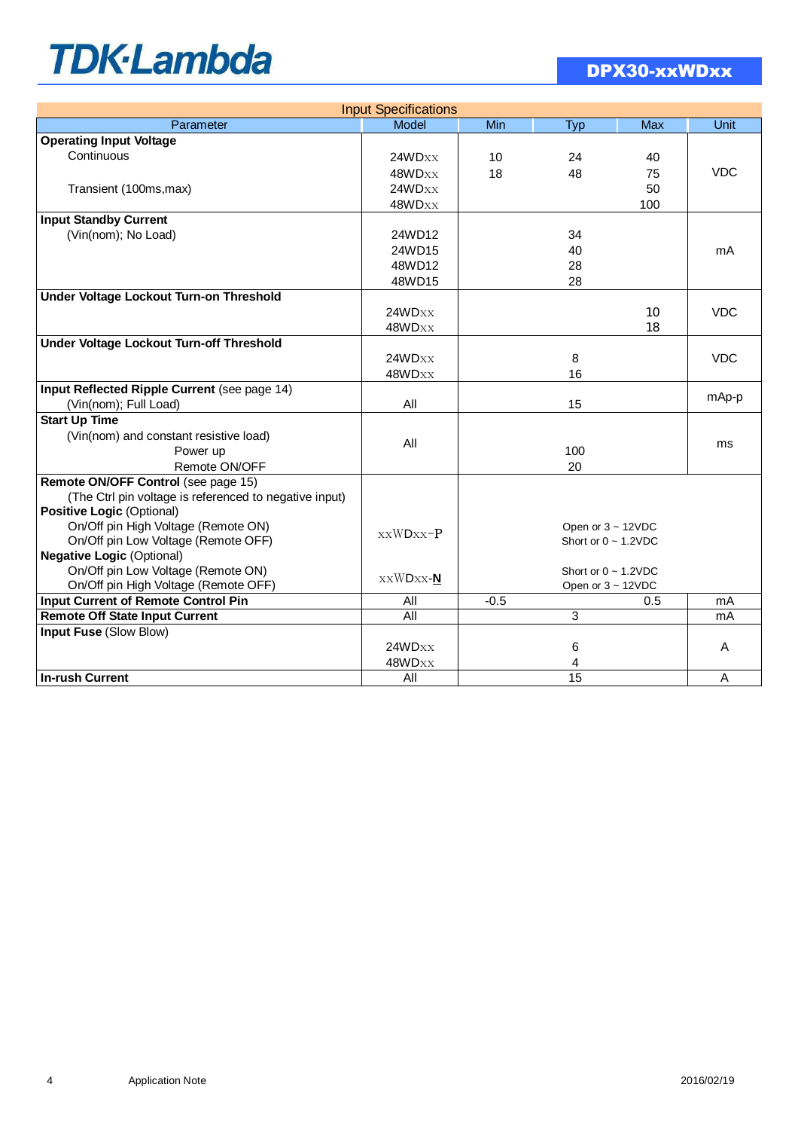| <b>Input Specifications</b>                            |                          |        |            |                           |            |  |  |
|--------------------------------------------------------|--------------------------|--------|------------|---------------------------|------------|--|--|
| Parameter                                              | Model                    | Min    | <b>Typ</b> | <b>Max</b>                | Unit       |  |  |
| <b>Operating Input Voltage</b>                         |                          |        |            |                           |            |  |  |
| Continuous                                             | 24WDxx                   | 10     | 24         | 40                        |            |  |  |
|                                                        | 48WDxx                   | 18     | 48         | 75                        | <b>VDC</b> |  |  |
| Transient (100ms, max)                                 | 24WD <sub>XX</sub>       |        |            | 50                        |            |  |  |
|                                                        | 48WDxx                   |        |            | 100                       |            |  |  |
| <b>Input Standby Current</b>                           |                          |        |            |                           |            |  |  |
| (Vin(nom); No Load)                                    | 24WD12                   |        | 34         |                           |            |  |  |
|                                                        | 24WD15                   |        | 40         |                           | mA         |  |  |
|                                                        | 48WD12                   |        | 28         |                           |            |  |  |
|                                                        | 48WD15                   |        | 28         |                           |            |  |  |
| Under Voltage Lockout Turn-on Threshold                |                          |        |            |                           |            |  |  |
|                                                        | 24WDxx                   |        |            | 10                        | <b>VDC</b> |  |  |
|                                                        | 48WDxx                   |        |            | 18                        |            |  |  |
| Under Voltage Lockout Turn-off Threshold               |                          |        |            |                           |            |  |  |
|                                                        | 24WDxx                   |        | 8          |                           | <b>VDC</b> |  |  |
|                                                        | 48WDxx                   |        | 16         |                           |            |  |  |
| Input Reflected Ripple Current (see page 14)           |                          |        |            |                           |            |  |  |
| (Vin(nom); Full Load)                                  | All                      |        | 15         |                           | mAp-p      |  |  |
| <b>Start Up Time</b>                                   |                          |        |            |                           |            |  |  |
| (Vin(nom) and constant resistive load)                 |                          |        |            |                           |            |  |  |
| Power up                                               | All<br>100               |        |            | ms                        |            |  |  |
| Remote ON/OFF                                          |                          | 20     |            |                           |            |  |  |
| Remote ON/OFF Control (see page 15)                    |                          |        |            |                           |            |  |  |
| (The Ctrl pin voltage is referenced to negative input) |                          |        |            |                           |            |  |  |
| Positive Logic (Optional)                              |                          |        |            |                           |            |  |  |
| On/Off pin High Voltage (Remote ON)                    |                          |        |            | Open or $3 \sim 12$ VDC   |            |  |  |
| On/Off pin Low Voltage (Remote OFF)                    | xxWDxx-P                 |        |            | Short or $0 \sim 1.2$ VDC |            |  |  |
| <b>Negative Logic (Optional)</b>                       |                          |        |            |                           |            |  |  |
| On/Off pin Low Voltage (Remote ON)                     |                          |        |            | Short or $0 \sim 1.2$ VDC |            |  |  |
| On/Off pin High Voltage (Remote OFF)                   | $\bold{xxWDxx\text{-}N}$ |        |            | Open or 3 ~ 12VDC         |            |  |  |
| <b>Input Current of Remote Control Pin</b>             | All                      | $-0.5$ |            | 0.5                       | mA         |  |  |
| <b>Remote Off State Input Current</b>                  | All                      |        | 3          |                           | mA         |  |  |
| <b>Input Fuse (Slow Blow)</b>                          |                          |        |            |                           |            |  |  |
|                                                        | 24WDxx                   |        | 6          |                           | A          |  |  |
|                                                        | 48WDxx                   |        | 4          |                           |            |  |  |
| <b>In-rush Current</b>                                 | All                      |        | 15         |                           | A          |  |  |
|                                                        |                          |        |            |                           |            |  |  |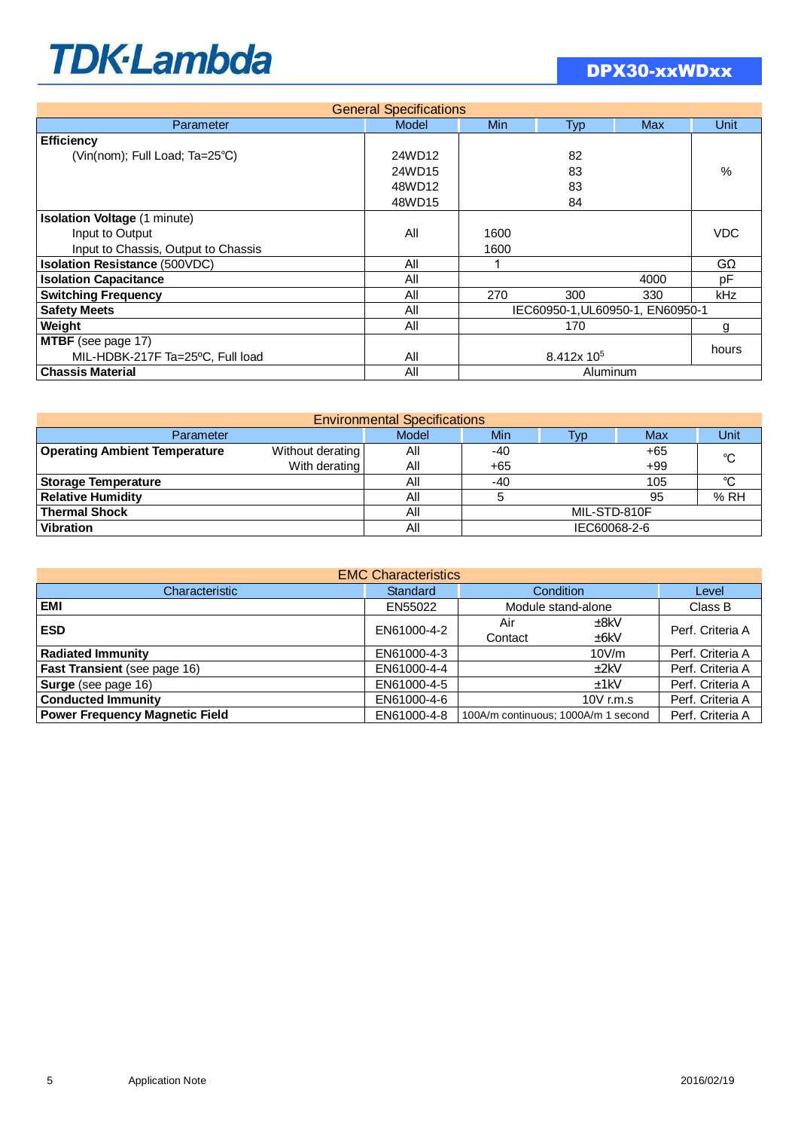| <b>General Specifications</b>        |        |                                  |     |            |       |  |  |  |
|--------------------------------------|--------|----------------------------------|-----|------------|-------|--|--|--|
| Parameter                            | Model  | <b>Min</b>                       | Typ | <b>Max</b> | Unit  |  |  |  |
| <b>Efficiency</b>                    |        |                                  |     |            |       |  |  |  |
| (Vin(nom); Full Load; Ta=25°C)       | 24WD12 |                                  | 82  |            |       |  |  |  |
|                                      | 24WD15 |                                  | 83  |            | %     |  |  |  |
|                                      | 48WD12 |                                  | 83  |            |       |  |  |  |
|                                      | 48WD15 |                                  | 84  |            |       |  |  |  |
| <b>Isolation Voltage (1 minute)</b>  |        |                                  |     |            |       |  |  |  |
| Input to Output                      | All    | 1600                             |     |            | VDC   |  |  |  |
| Input to Chassis, Output to Chassis  |        | 1600                             |     |            |       |  |  |  |
| <b>Isolation Resistance (500VDC)</b> | All    |                                  |     |            | GΩ    |  |  |  |
| <b>Isolation Capacitance</b>         | All    | 4000                             |     |            | рF    |  |  |  |
| <b>Switching Frequency</b>           | All    | 270                              | 300 | 330        | kHz   |  |  |  |
| <b>Safety Meets</b>                  | All    | IEC60950-1, UL60950-1, EN60950-1 |     |            |       |  |  |  |
| Weight                               | All    | 170                              |     |            | g     |  |  |  |
| <b>MTBF</b> (see page 17)            |        |                                  |     |            | hours |  |  |  |
| MIL-HDBK-217F Ta=25°C, Full load     | All    | 8.412x 10 <sup>5</sup>           |     |            |       |  |  |  |
| <b>Chassis Material</b>              | All    | Aluminum                         |     |            |       |  |  |  |

| <b>Environmental Specifications</b>  |                  |            |              |            |       |     |  |  |
|--------------------------------------|------------------|------------|--------------|------------|-------|-----|--|--|
| Parameter                            | Model            | <b>Min</b> | Typ          | <b>Max</b> | Unit  |     |  |  |
| <b>Operating Ambient Temperature</b> | Without derating | All        | -40          |            | +65   | °C  |  |  |
|                                      | With derating    | All        | $+65$        |            | $+99$ |     |  |  |
| Storage Temperature                  | Αll              | $-40$      |              | 105        | °C    |     |  |  |
| <b>Relative Humidity</b>             |                  | All        | 95           |            |       | %RH |  |  |
| <b>Thermal Shock</b>                 |                  | All        | MIL-STD-810F |            |       |     |  |  |
| <b>Vibration</b>                     |                  | All        | IEC60068-2-6 |            |       |     |  |  |

| <b>EMC Characteristics</b>            |             |                                     |                  |  |  |  |  |  |
|---------------------------------------|-------------|-------------------------------------|------------------|--|--|--|--|--|
| Characteristic                        | Standard    | <b>Condition</b>                    | Level            |  |  |  |  |  |
| <b>EMI</b>                            | EN55022     | Module stand-alone                  | Class B          |  |  |  |  |  |
| <b>ESD</b>                            | EN61000-4-2 | Air<br>±8kV                         | Perf. Criteria A |  |  |  |  |  |
|                                       |             | ±6kV<br>Contact                     |                  |  |  |  |  |  |
| Radiated Immunity                     | EN61000-4-3 | 10V/m                               | Perf. Criteria A |  |  |  |  |  |
| <b>Fast Transient</b> (see page 16)   | EN61000-4-4 | ±2kV                                | Perf. Criteria A |  |  |  |  |  |
| Surge (see page 16)                   | EN61000-4-5 | ±1kV                                | Perf. Criteria A |  |  |  |  |  |
| <b>Conducted Immunity</b>             | EN61000-4-6 | 10 $V$ r.m.s                        | Perf. Criteria A |  |  |  |  |  |
| <b>Power Frequency Magnetic Field</b> | EN61000-4-8 | 100A/m continuous; 1000A/m 1 second | Perf. Criteria A |  |  |  |  |  |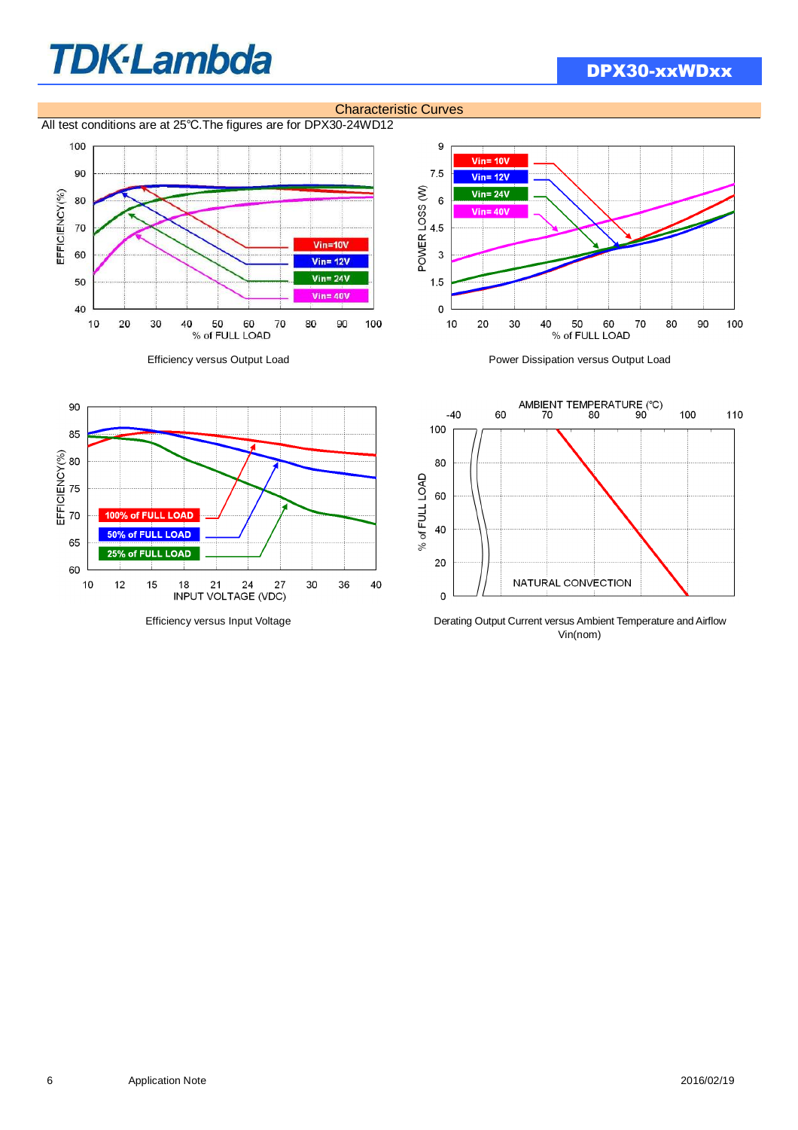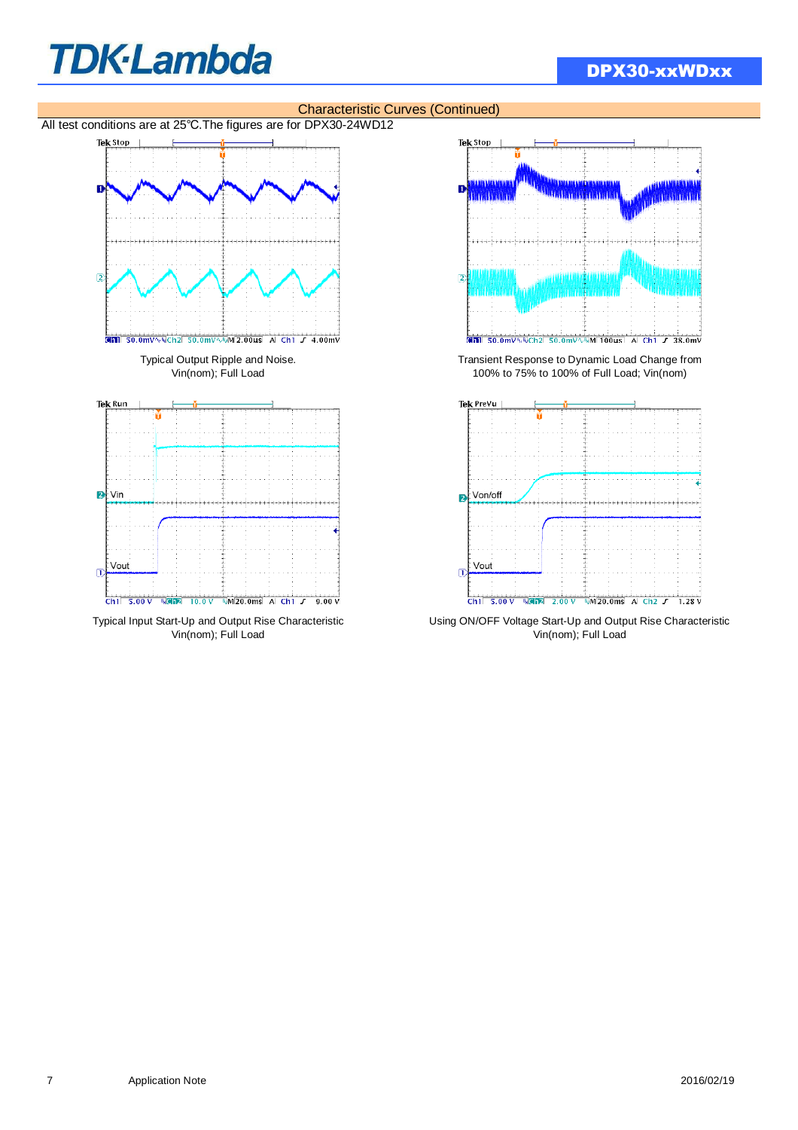## DPX30-xxWDxx



Typical Input Start-Up and Output Rise Characteristic Using ON/OFF Voltage Start-Up and Output Rise Characteristic vin(nom); Full Load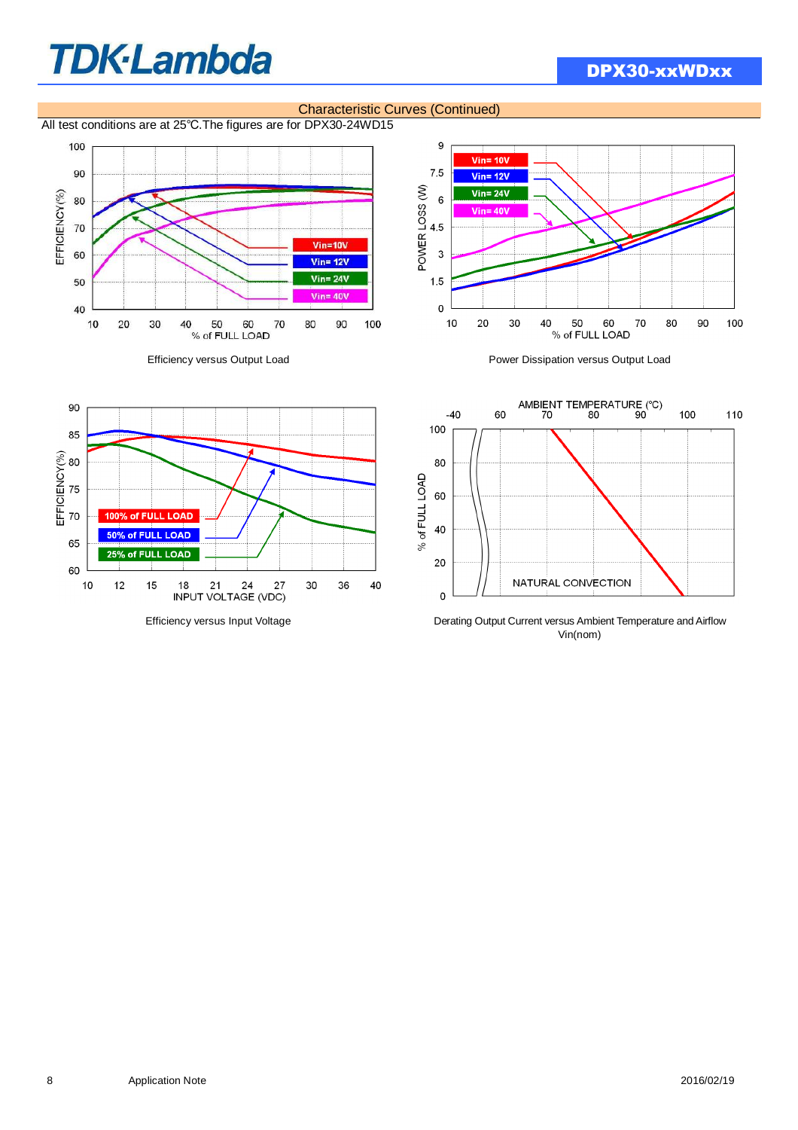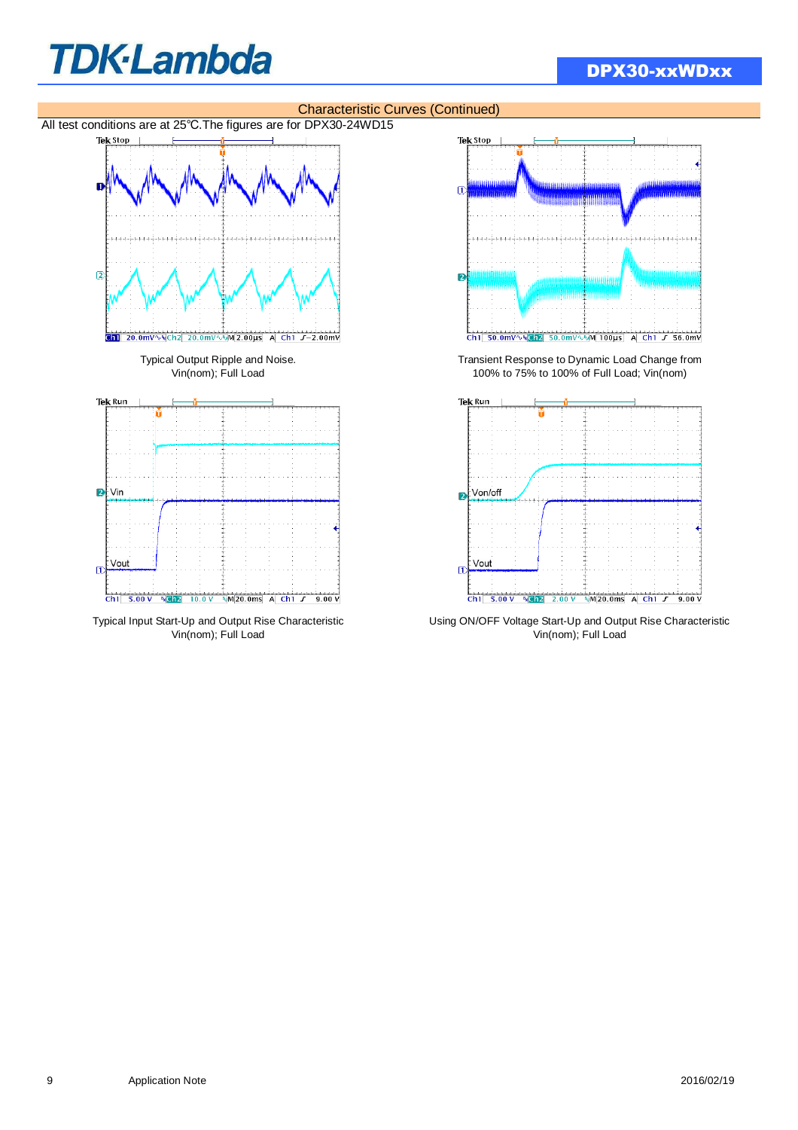## DPX30-xxWDxx





Vout  $\overline{D}$ Ch1 5.00 V & Ch2 2.00 V & M 20.0ms A Ch1 F 9.00 V

Typical Input Start-Up and Output Rise Characteristic Using ON/OFF Voltage Start-Up and Output Rise Characteristic Vin(nom); Full Load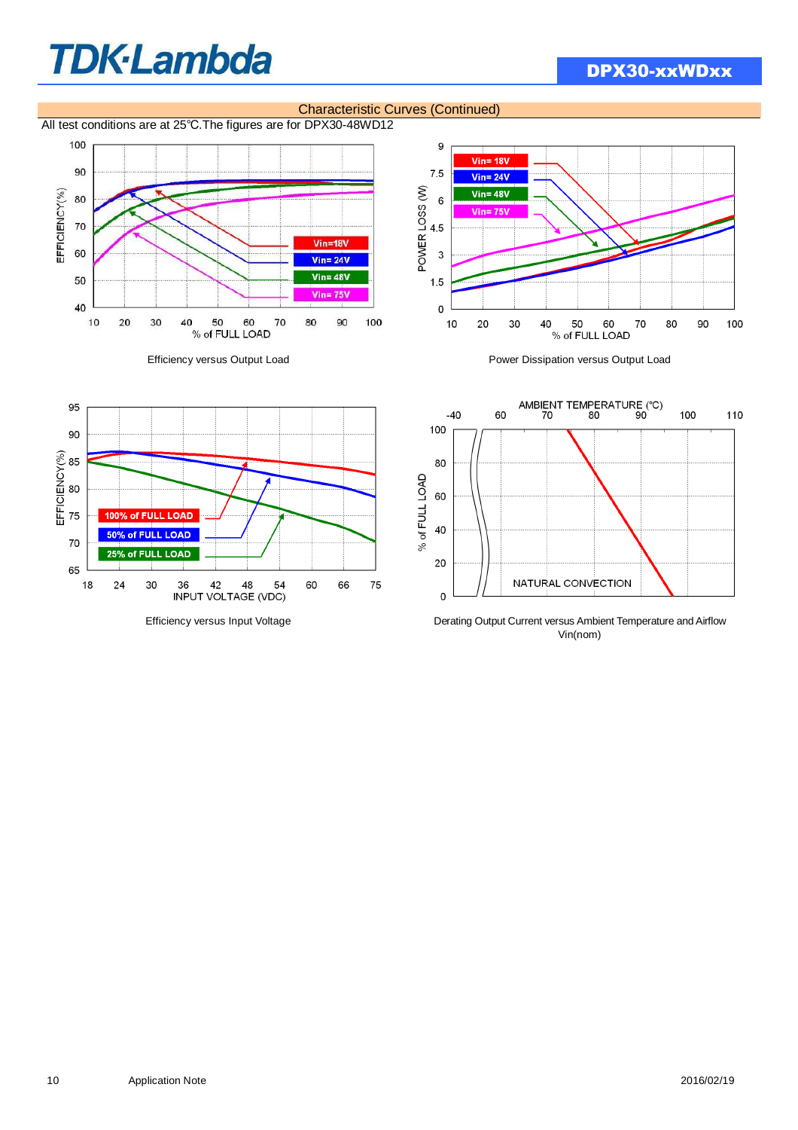## DPX30-xxWDxx



#### Characteristic Curves (Continued)

All test conditions are at 25℃.The figures are for DPX30-48WD12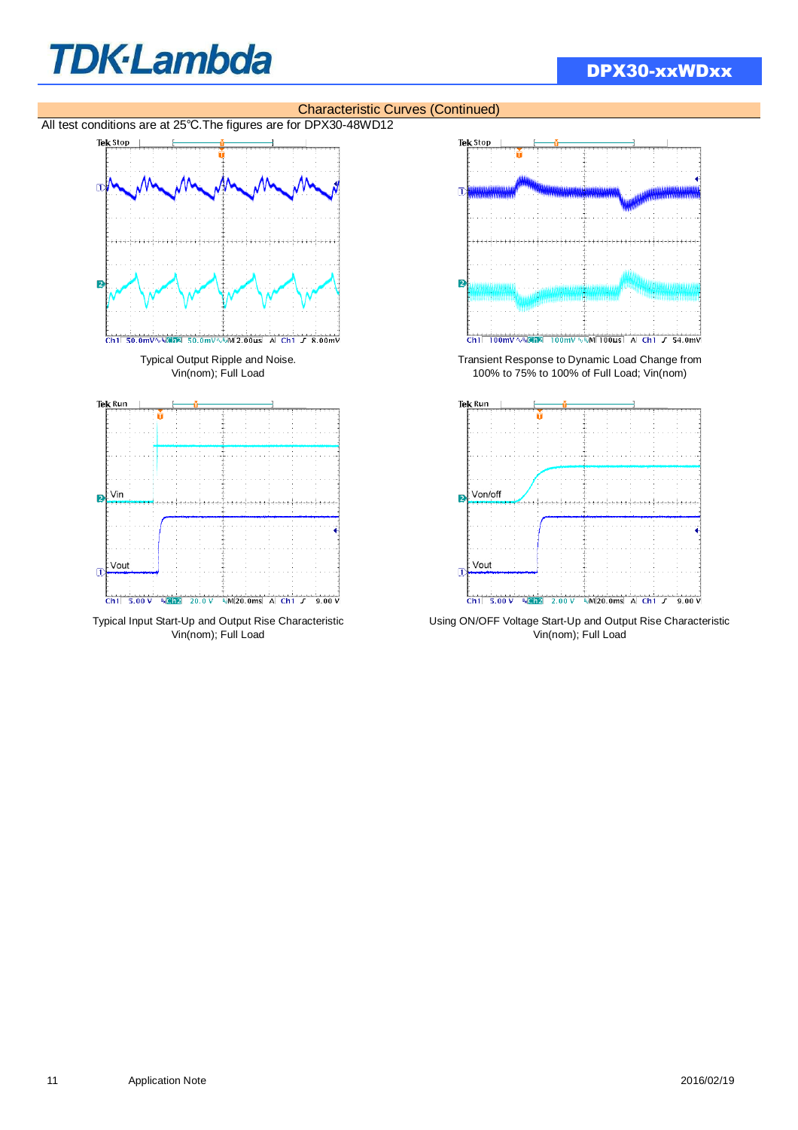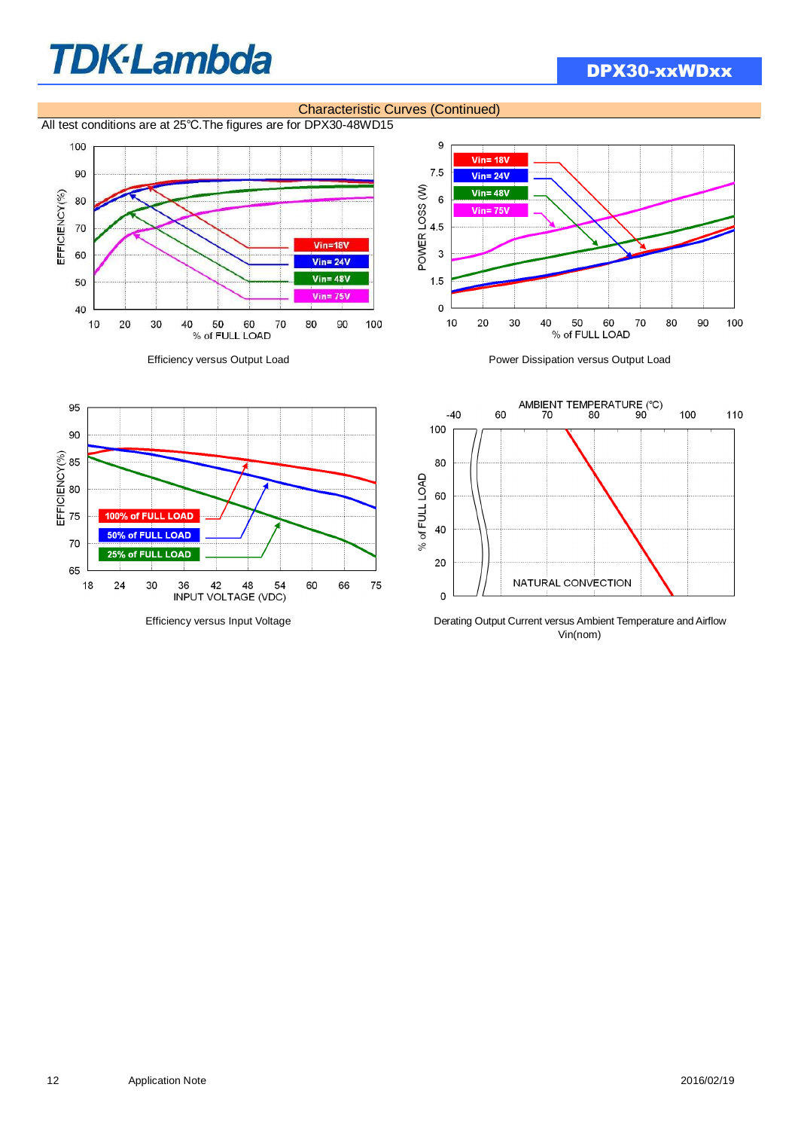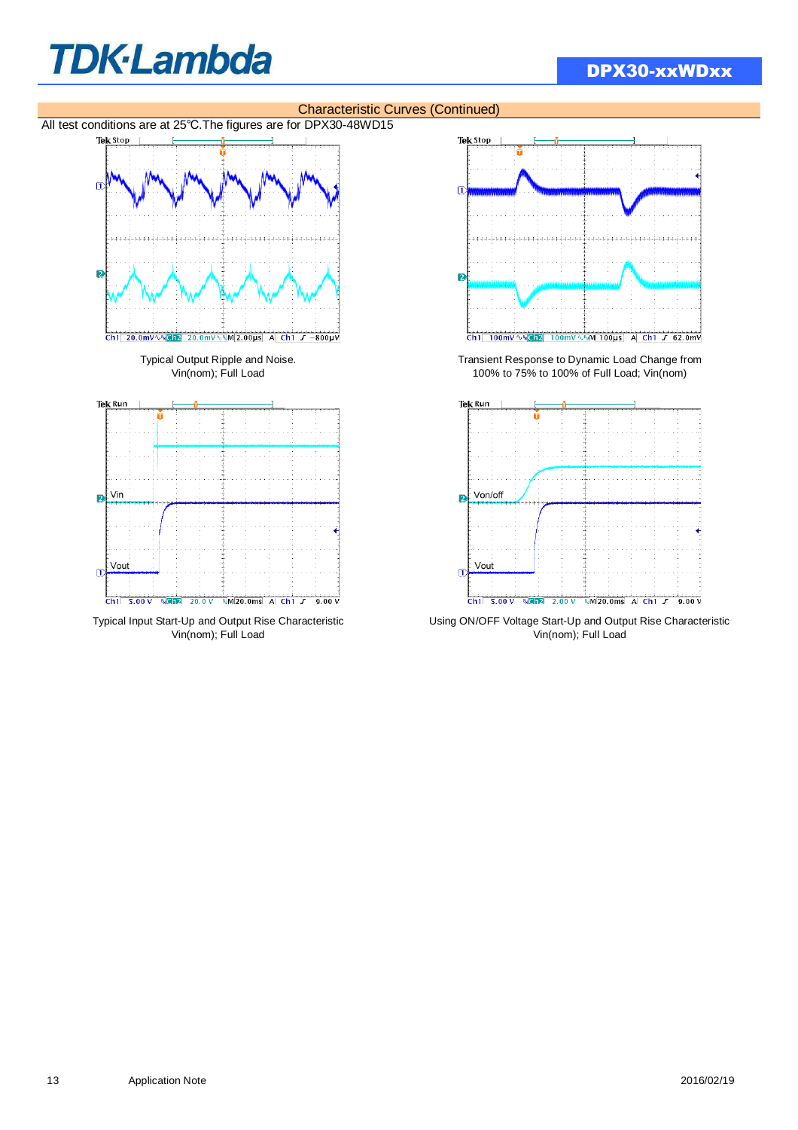





vin(nom); Full Load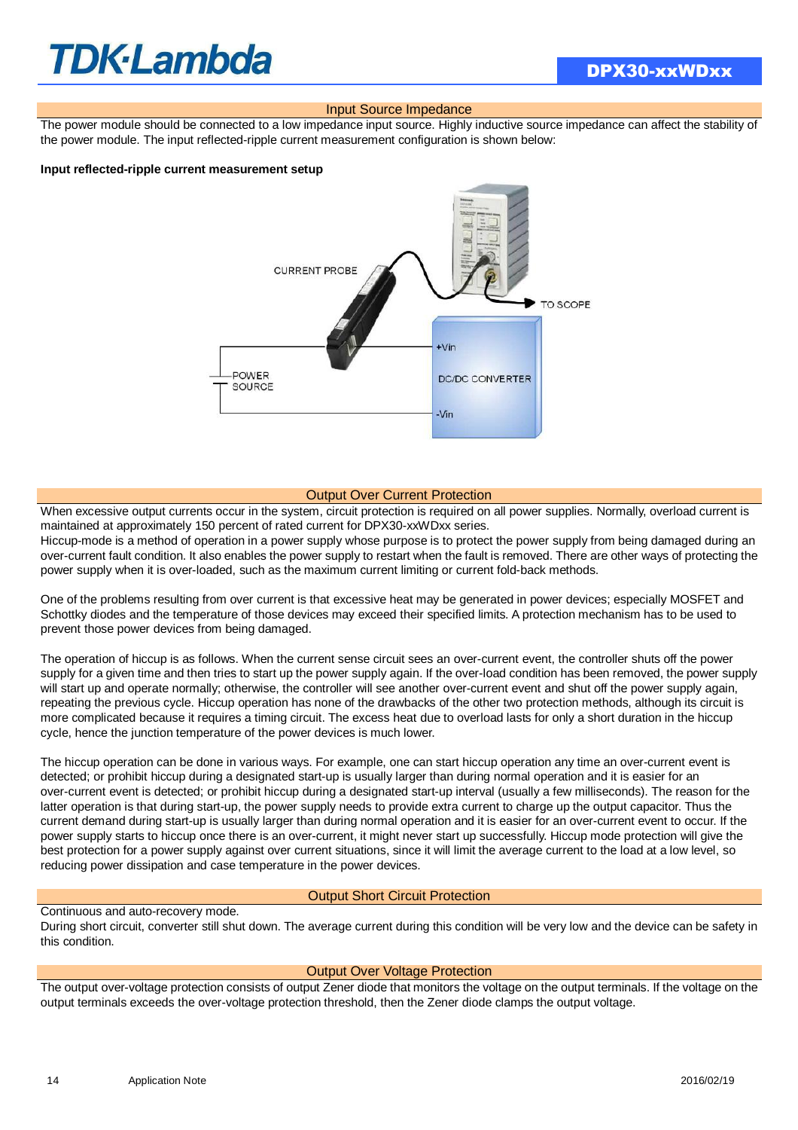## **TDK·Lambda**

#### Input Source Impedance

The power module should be connected to a low impedance input source. Highly inductive source impedance can affect the stability of the power module. The input reflected-ripple current measurement configuration is shown below:

#### **Input reflected-ripple current measurement setup**



#### Output Over Current Protection

When excessive output currents occur in the system, circuit protection is required on all power supplies. Normally, overload current is maintained at approximately 150 percent of rated current for DPX30-xxWDxx series.

Hiccup-mode is a method of operation in a power supply whose purpose is to protect the power supply from being damaged during an over-current fault condition. It also enables the power supply to restart when the fault is removed. There are other ways of protecting the power supply when it is over-loaded, such as the maximum current limiting or current fold-back methods.

One of the problems resulting from over current is that excessive heat may be generated in power devices; especially MOSFET and Schottky diodes and the temperature of those devices may exceed their specified limits. A protection mechanism has to be used to prevent those power devices from being damaged.

The operation of hiccup is as follows. When the current sense circuit sees an over-current event, the controller shuts off the power supply for a given time and then tries to start up the power supply again. If the over-load condition has been removed, the power supply will start up and operate normally; otherwise, the controller will see another over-current event and shut off the power supply again, repeating the previous cycle. Hiccup operation has none of the drawbacks of the other two protection methods, although its circuit is more complicated because it requires a timing circuit. The excess heat due to overload lasts for only a short duration in the hiccup cycle, hence the junction temperature of the power devices is much lower.

The hiccup operation can be done in various ways. For example, one can start hiccup operation any time an over-current event is detected; or prohibit hiccup during a designated start-up is usually larger than during normal operation and it is easier for an over-current event is detected; or prohibit hiccup during a designated start-up interval (usually a few milliseconds). The reason for the latter operation is that during start-up, the power supply needs to provide extra current to charge up the output capacitor. Thus the current demand during start-up is usually larger than during normal operation and it is easier for an over-current event to occur. If the power supply starts to hiccup once there is an over-current, it might never start up successfully. Hiccup mode protection will give the best protection for a power supply against over current situations, since it will limit the average current to the load at a low level, so reducing power dissipation and case temperature in the power devices.

#### Output Short Circuit Protection

#### Continuous and auto-recovery mode.

During short circuit, converter still shut down. The average current during this condition will be very low and the device can be safety in this condition.

#### Output Over Voltage Protection

The output over-voltage protection consists of output Zener diode that monitors the voltage on the output terminals. If the voltage on the output terminals exceeds the over-voltage protection threshold, then the Zener diode clamps the output voltage.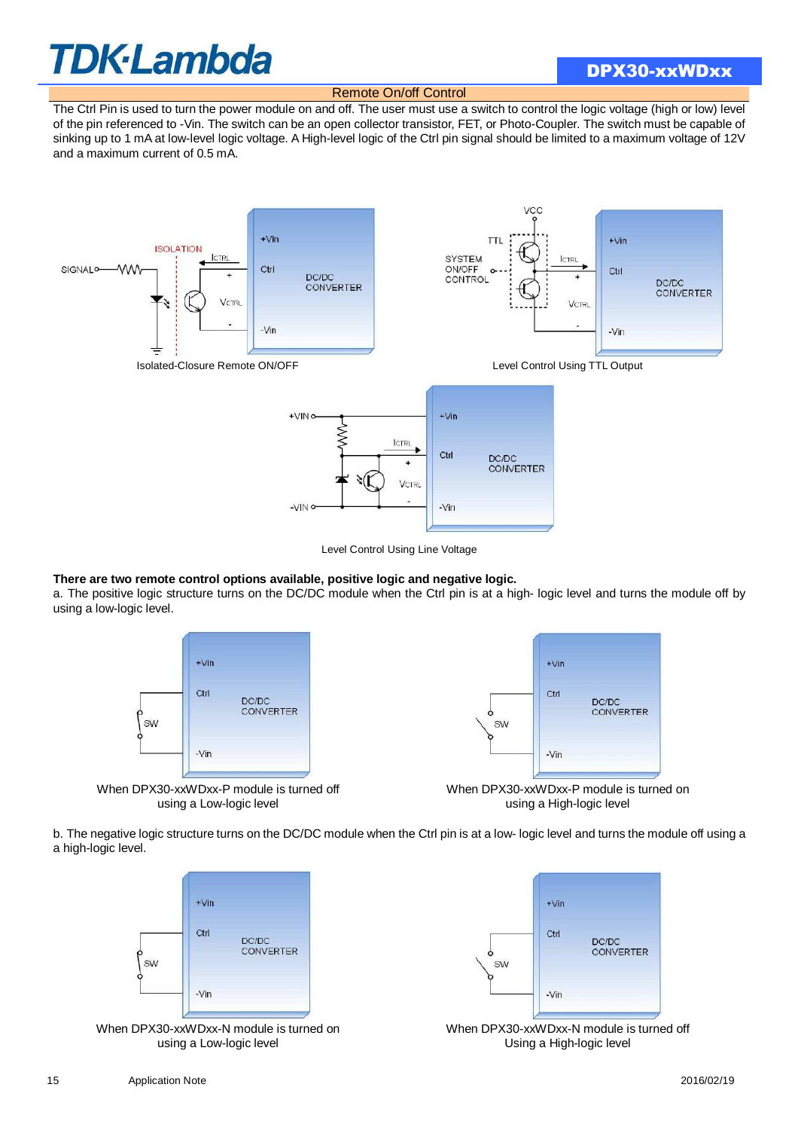### DPX30-xxWDxx

Remote On/off Control

The Ctrl Pin is used to turn the power module on and off. The user must use a switch to control the logic voltage (high or low) level of the pin referenced to -Vin. The switch can be an open collector transistor, FET, or Photo-Coupler. The switch must be capable of sinking up to 1 mA at low-level logic voltage. A High-level logic of the Ctrl pin signal should be limited to a maximum voltage of 12V and a maximum current of 0.5 mA.



Level Control Using Line Voltage

#### **There are two remote control options available, positive logic and negative logic.**

a. The positive logic structure turns on the DC/DC module when the Ctrl pin is at a high- logic level and turns the module off by using a low-logic level.



When DPX30-xxWDxx-P module is turned off using a Low-logic level



When DPX30-xxWDxx-P module is turned on using a High-logic level

b. The negative logic structure turns on the DC/DC module when the Ctrl pin is at a low- logic level and turns the module off using a a high-logic level.



When DPX30-xxWDxx-N module is turned on using a Low-logic level



When DPX30-xxWDxx-N module is turned off Using a High-logic level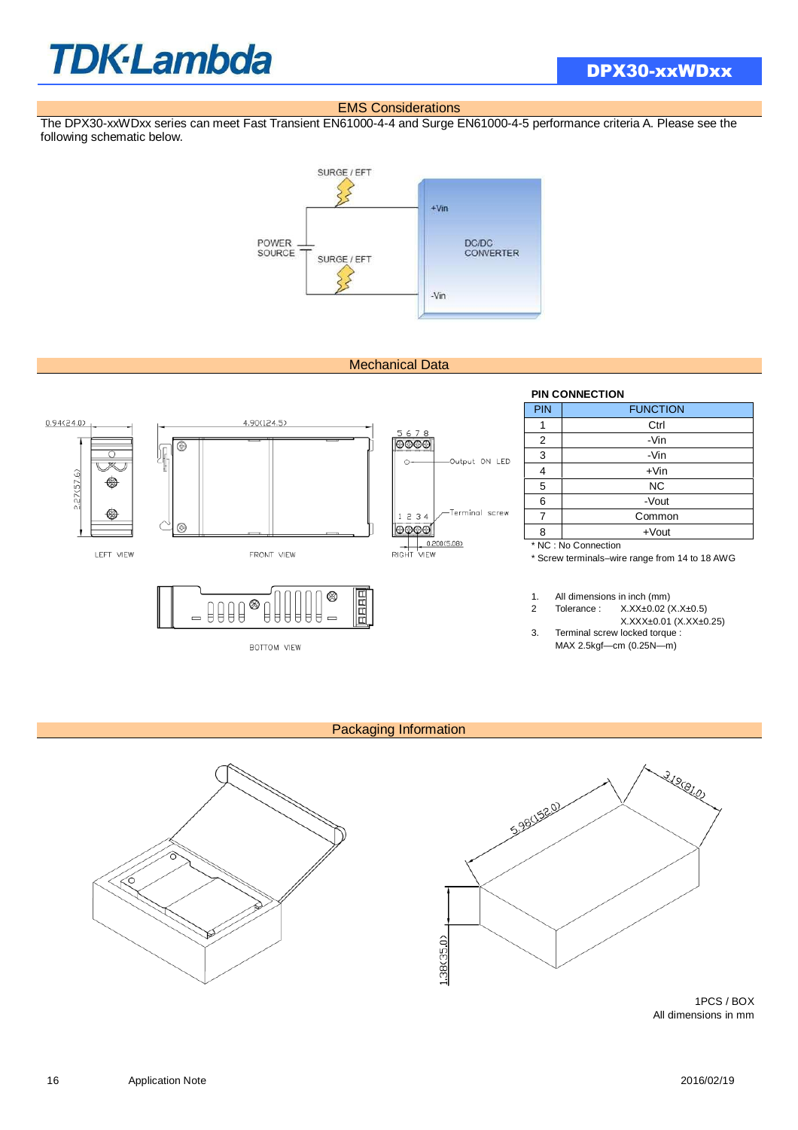#### EMS Considerations

The DPX30-xxWDxx series can meet Fast Transient EN61000-4-4 and Surge EN61000-4-5 performance criteria A. Please see the following schematic below.



#### Mechanical Data



BOTTOM VIEW

#### **PIN CONNECTION**

| <b>PIN</b> | <b>FUNCTION</b>      |  |  |  |  |  |
|------------|----------------------|--|--|--|--|--|
|            | Ctrl                 |  |  |  |  |  |
| 2          | -Vin                 |  |  |  |  |  |
| 3          | -Vin                 |  |  |  |  |  |
| 4          | $+V$ in              |  |  |  |  |  |
| 5          | <b>NC</b>            |  |  |  |  |  |
| 6          | -Vout                |  |  |  |  |  |
|            | Common               |  |  |  |  |  |
| 8          | $+$ Vout             |  |  |  |  |  |
|            | * NC : No Connection |  |  |  |  |  |

\* Screw terminals–wire range from 14 to 18 AWG

1. All dimensions in inch (mm)

2 Tolerance : X.XX±0.02 (X.X±0.5) X.XXX±0.01 (X.XX±0.25)

3. Terminal screw locked torque : MAX 2.5kgf—cm (0.25N—m)

#### Packaging Information





1PCS / BOX All dimensions in mm